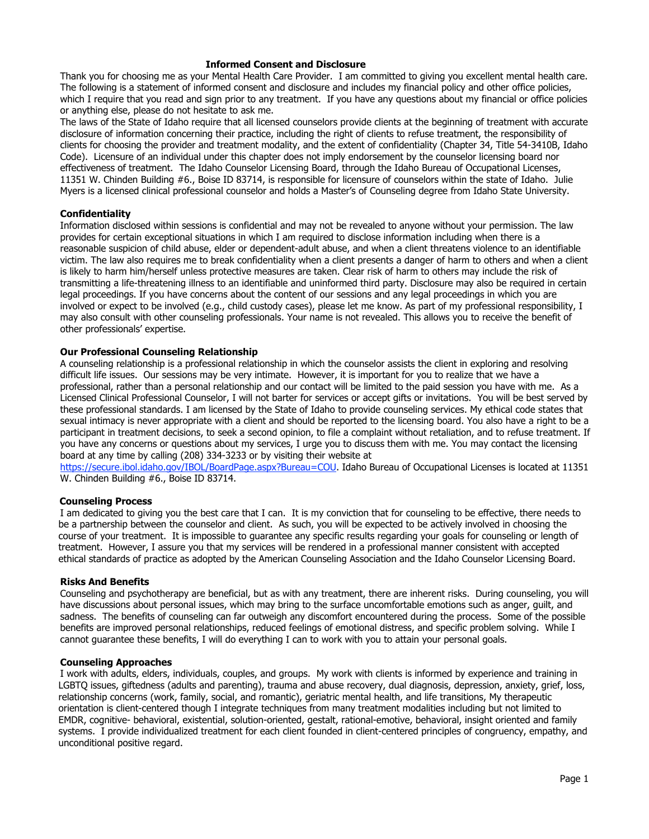## **Informed Consent and Disclosure**

Thank you for choosing me as your Mental Health Care Provider. I am committed to giving you excellent mental health care. The following is a statement of informed consent and disclosure and includes my financial policy and other office policies, which I require that you read and sign prior to any treatment. If you have any questions about my financial or office policies or anything else, please do not hesitate to ask me.

The laws of the State of Idaho require that all licensed counselors provide clients at the beginning of treatment with accurate disclosure of information concerning their practice, including the right of clients to refuse treatment, the responsibility of clients for choosing the provider and treatment modality, and the extent of confidentiality (Chapter 34, Title 54-3410B, Idaho Code). Licensure of an individual under this chapter does not imply endorsement by the counselor licensing board nor effectiveness of treatment. The Idaho Counselor Licensing Board, through the Idaho Bureau of Occupational Licenses, 11351 W. Chinden Building #6., Boise ID 83714, is responsible for licensure of counselors within the state of Idaho. Julie Myers is a licensed clinical professional counselor and holds a Master's of Counseling degree from Idaho State University.

#### **Confidentiality**

Information disclosed within sessions is confidential and may not be revealed to anyone without your permission. The law provides for certain exceptional situations in which I am required to disclose information including when there is a reasonable suspicion of child abuse, elder or dependent-adult abuse, and when a client threatens violence to an identifiable victim. The law also requires me to break confidentiality when a client presents a danger of harm to others and when a client is likely to harm him/herself unless protective measures are taken. Clear risk of harm to others may include the risk of transmitting a life-threatening illness to an identifiable and uninformed third party. Disclosure may also be required in certain legal proceedings. If you have concerns about the content of our sessions and any legal proceedings in which you are involved or expect to be involved (e.g., child custody cases), please let me know. As part of my professional responsibility, I may also consult with other counseling professionals. Your name is not revealed. This allows you to receive the benefit of other professionals' expertise.

#### **Our Professional Counseling Relationship**

A counseling relationship is a professional relationship in which the counselor assists the client in exploring and resolving difficult life issues. Our sessions may be very intimate. However, it is important for you to realize that we have a professional, rather than a personal relationship and our contact will be limited to the paid session you have with me. As a Licensed Clinical Professional Counselor, I will not barter for services or accept gifts or invitations. You will be best served by these professional standards. I am licensed by the State of Idaho to provide counseling services. My ethical code states that sexual intimacy is never appropriate with a client and should be reported to the licensing board. You also have a right to be a participant in treatment decisions, to seek a second opinion, to file a complaint without retaliation, and to refuse treatment. If you have any concerns or questions about my services, I urge you to discuss them with me. You may contact the licensing board at any time by calling (208) 334-3233 or by visiting their website at

https://secure.ibol.idaho.gov/IBOL/BoardPage.aspx?Bureau=COU. Idaho Bureau of Occupational Licenses is located at 11351 W. Chinden Building #6., Boise ID 83714.

#### **Counseling Process**

I am dedicated to giving you the best care that I can. It is my conviction that for counseling to be effective, there needs to be a partnership between the counselor and client. As such, you will be expected to be actively involved in choosing the course of your treatment. It is impossible to guarantee any specific results regarding your goals for counseling or length of treatment. However, I assure you that my services will be rendered in a professional manner consistent with accepted ethical standards of practice as adopted by the American Counseling Association and the Idaho Counselor Licensing Board.

#### **Risks And Benefits**

Counseling and psychotherapy are beneficial, but as with any treatment, there are inherent risks. During counseling, you will have discussions about personal issues, which may bring to the surface uncomfortable emotions such as anger, guilt, and sadness. The benefits of counseling can far outweigh any discomfort encountered during the process. Some of the possible benefits are improved personal relationships, reduced feelings of emotional distress, and specific problem solving. While I cannot guarantee these benefits, I will do everything I can to work with you to attain your personal goals.

#### **Counseling Approaches**

I work with adults, elders, individuals, couples, and groups. My work with clients is informed by experience and training in LGBTQ issues, giftedness (adults and parenting), trauma and abuse recovery, dual diagnosis, depression, anxiety, grief, loss, relationship concerns (work, family, social, and romantic), geriatric mental health, and life transitions, My therapeutic orientation is client-centered though I integrate techniques from many treatment modalities including but not limited to EMDR, cognitive- behavioral, existential, solution-oriented, gestalt, rational-emotive, behavioral, insight oriented and family systems. I provide individualized treatment for each client founded in client-centered principles of congruency, empathy, and unconditional positive regard.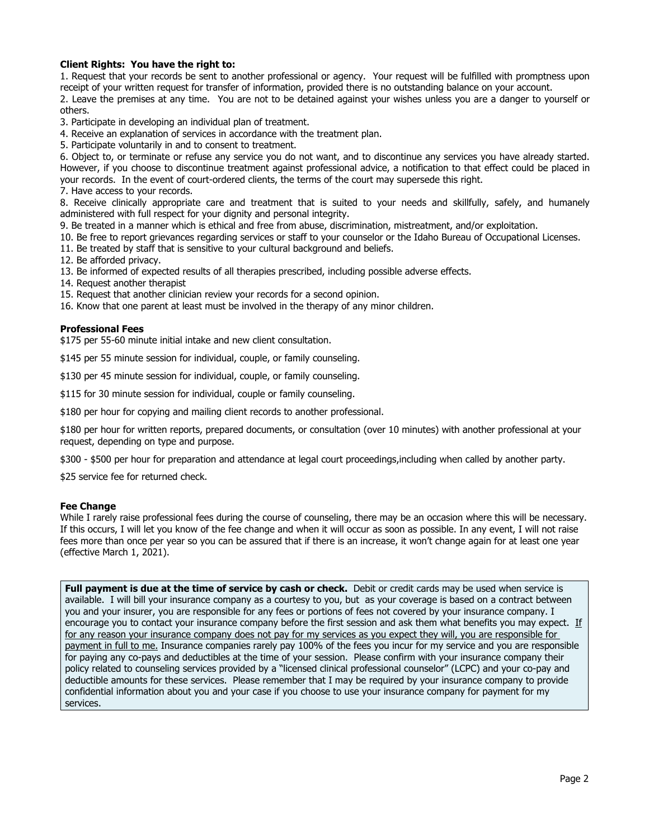# **Client Rights: You have the right to:**

1. Request that your records be sent to another professional or agency. Your request will be fulfilled with promptness upon receipt of your written request for transfer of information, provided there is no outstanding balance on your account. 2. Leave the premises at any time. You are not to be detained against your wishes unless you are a danger to yourself or others.

3. Participate in developing an individual plan of treatment.

4. Receive an explanation of services in accordance with the treatment plan.

5. Participate voluntarily in and to consent to treatment.

6. Object to, or terminate or refuse any service you do not want, and to discontinue any services you have already started. However, if you choose to discontinue treatment against professional advice, a notification to that effect could be placed in your records. In the event of court-ordered clients, the terms of the court may supersede this right.

7. Have access to your records.

8. Receive clinically appropriate care and treatment that is suited to your needs and skillfully, safely, and humanely administered with full respect for your dignity and personal integrity.

9. Be treated in a manner which is ethical and free from abuse, discrimination, mistreatment, and/or exploitation.

10. Be free to report grievances regarding services or staff to your counselor or the Idaho Bureau of Occupational Licenses.

11. Be treated by staff that is sensitive to your cultural background and beliefs.

12. Be afforded privacy.

13. Be informed of expected results of all therapies prescribed, including possible adverse effects.

14. Request another therapist

15. Request that another clinician review your records for a second opinion.

16. Know that one parent at least must be involved in the therapy of any minor children.

## **Professional Fees**

\$175 per 55-60 minute initial intake and new client consultation.

\$145 per 55 minute session for individual, couple, or family counseling.

\$130 per 45 minute session for individual, couple, or family counseling.

\$115 for 30 minute session for individual, couple or family counseling.

\$180 per hour for copying and mailing client records to another professional.

\$180 per hour for written reports, prepared documents, or consultation (over 10 minutes) with another professional at your request, depending on type and purpose.

\$300 - \$500 per hour for preparation and attendance at legal court proceedings,including when called by another party.

\$25 service fee for returned check.

#### **Fee Change**

While I rarely raise professional fees during the course of counseling, there may be an occasion where this will be necessary. If this occurs, I will let you know of the fee change and when it will occur as soon as possible. In any event, I will not raise fees more than once per year so you can be assured that if there is an increase, it won't change again for at least one year (effective March 1, 2021).

**Full payment is due at the time of service by cash or check.** Debit or credit cards may be used when service is available. I will bill your insurance company as a courtesy to you, but as your coverage is based on a contract between you and your insurer, you are responsible for any fees or portions of fees not covered by your insurance company. I encourage you to contact your insurance company before the first session and ask them what benefits you may expect. If for any reason your insurance company does not pay for my services as you expect they will, you are responsible for payment in full to me. Insurance companies rarely pay 100% of the fees you incur for my service and you are responsible for paying any co-pays and deductibles at the time of your session. Please confirm with your insurance company their policy related to counseling services provided by a "licensed clinical professional counselor" (LCPC) and your co-pay and deductible amounts for these services. Please remember that I may be required by your insurance company to provide confidential information about you and your case if you choose to use your insurance company for payment for my services.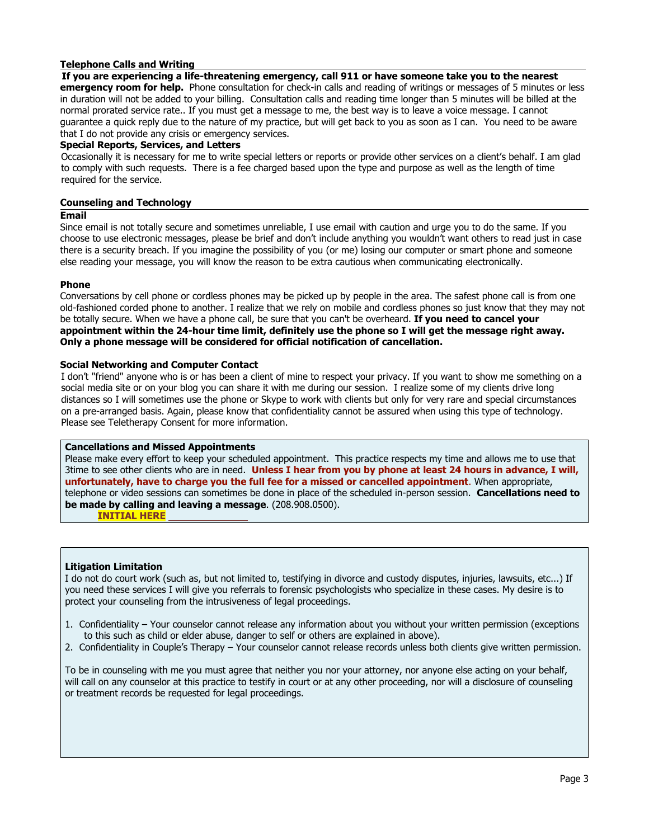# **Telephone Calls and Writing**

**If you are experiencing a life-threatening emergency, call 911 or have someone take you to the nearest emergency room for help.** Phone consultation for check-in calls and reading of writings or messages of 5 minutes or less in duration will not be added to your billing. Consultation calls and reading time longer than 5 minutes will be billed at the normal prorated service rate.. If you must get a message to me, the best way is to leave a voice message. I cannot guarantee a quick reply due to the nature of my practice, but will get back to you as soon as I can. You need to be aware that I do not provide any crisis or emergency services.

## **Special Reports, Services, and Letters**

Occasionally it is necessary for me to write special letters or reports or provide other services on a client's behalf. I am glad to comply with such requests. There is a fee charged based upon the type and purpose as well as the length of time required for the service.

## **Counseling and Technology**

#### **Email**

Since email is not totally secure and sometimes unreliable, I use email with caution and urge you to do the same. If you choose to use electronic messages, please be brief and don't include anything you wouldn't want others to read just in case there is a security breach. If you imagine the possibility of you (or me) losing our computer or smart phone and someone else reading your message, you will know the reason to be extra cautious when communicating electronically.

#### **Phone**

Conversations by cell phone or cordless phones may be picked up by people in the area. The safest phone call is from one old-fashioned corded phone to another. I realize that we rely on mobile and cordless phones so just know that they may not be totally secure. When we have a phone call, be sure that you can't be overheard. **If you need to cancel your appointment within the 24-hour time limit, definitely use the phone so I will get the message right away. Only a phone message will be considered for official notification of cancellation.**

#### **Social Networking and Computer Contact**

I don't "friend" anyone who is or has been a client of mine to respect your privacy. If you want to show me something on a social media site or on your blog you can share it with me during our session. I realize some of my clients drive long distances so I will sometimes use the phone or Skype to work with clients but only for very rare and special circumstances on a pre-arranged basis. Again, please know that confidentiality cannot be assured when using this type of technology. Please see Teletherapy Consent for more information.

#### **Cancellations and Missed Appointments**

Please make every effort to keep your scheduled appointment. This practice respects my time and allows me to use that 3time to see other clients who are in need. **Unless I hear from you by phone at least 24 hours in advance, I will, unfortunately, have to charge you the full fee for a missed or cancelled appointment**. When appropriate, telephone or video sessions can sometimes be done in place of the scheduled in-person session. **Cancellations need to be made by calling and leaving a message**. (208.908.0500).

**INITIAL HERE** 

# **Litigation Limitation**

I do not do court work (such as, but not limited to, testifying in divorce and custody disputes, injuries, lawsuits, etc...) If you need these services I will give you referrals to forensic psychologists who specialize in these cases. My desire is to protect your counseling from the intrusiveness of legal proceedings.

- 1. Confidentiality Your counselor cannot release any information about you without your written permission (exceptions to this such as child or elder abuse, danger to self or others are explained in above).
- 2. Confidentiality in Couple's Therapy Your counselor cannot release records unless both clients give written permission.

To be in counseling with me you must agree that neither you nor your attorney, nor anyone else acting on your behalf, will call on any counselor at this practice to testify in court or at any other proceeding, nor will a disclosure of counseling or treatment records be requested for legal proceedings.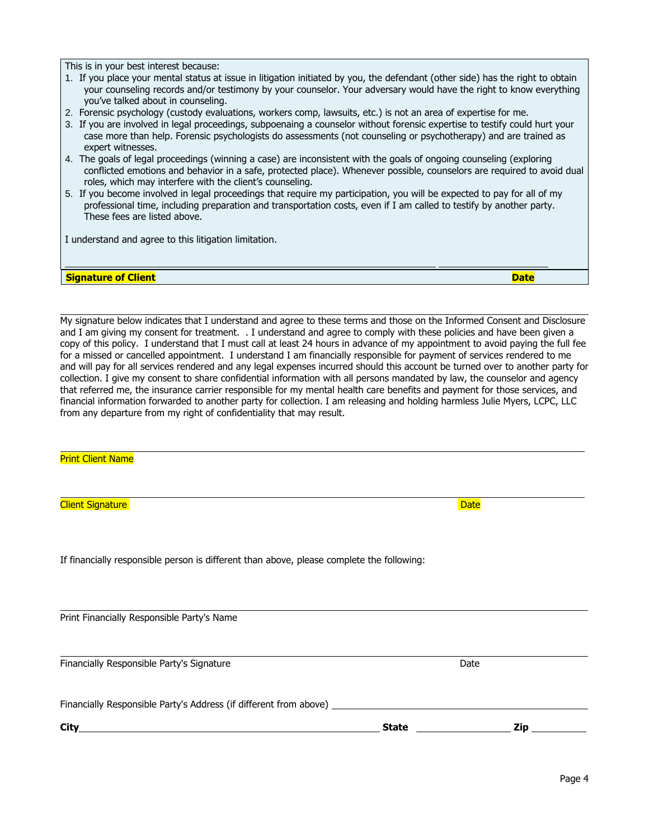This is in your best interest because:

- 1. If you place your mental status at issue in litigation initiated by you, the defendant (other side) has the right to obtain your counseling records and/or testimony by your counselor. Your adversary would have the right to know everything you've talked about in counseling.
- 2. Forensic psychology (custody evaluations, workers comp, lawsuits, etc.) is not an area of expertise for me.
- 3. If you are involved in legal proceedings, subpoenaing a counselor without forensic expertise to testify could hurt your case more than help. Forensic psychologists do assessments (not counseling or psychotherapy) and are trained as expert witnesses.
- 4. The goals of legal proceedings (winning a case) are inconsistent with the goals of ongoing counseling (exploring conflicted emotions and behavior in a safe, protected place). Whenever possible, counselors are required to avoid dual roles, which may interfere with the client's counseling.
- 5. If you become involved in legal proceedings that require my participation, you will be expected to pay for all of my professional time, including preparation and transportation costs, even if I am called to testify by another party. These fees are listed above.

I understand and agree to this litigation limitation.

**Signature of Client Date**

My signature below indicates that I understand and agree to these terms and those on the Informed Consent and Disclosure and I am giving my consent for treatment. . I understand and agree to comply with these policies and have been given a copy of this policy. I understand that I must call at least 24 hours in advance of my appointment to avoid paying the full fee for a missed or cancelled appointment. I understand I am financially responsible for payment of services rendered to me and will pay for all services rendered and any legal expenses incurred should this account be turned over to another party for collection. I give my consent to share confidential information with all persons mandated by law, the counselor and agency that referred me, the insurance carrier responsible for my mental health care benefits and payment for those services, and financial information forwarded to another party for collection. I am releasing and holding harmless Julie Myers, LCPC, LLC from any departure from my right of confidentiality that may result.

Print Client Name

l,

l,

**Client Signature Date** 

If financially responsible person is different than above, please complete the following:

Print Financially Responsible Party's Name

Financially Responsible Party's Signature **Date of Construction** Date Date Date

Financially Responsible Party's Address (if different from above)

**City State Zip**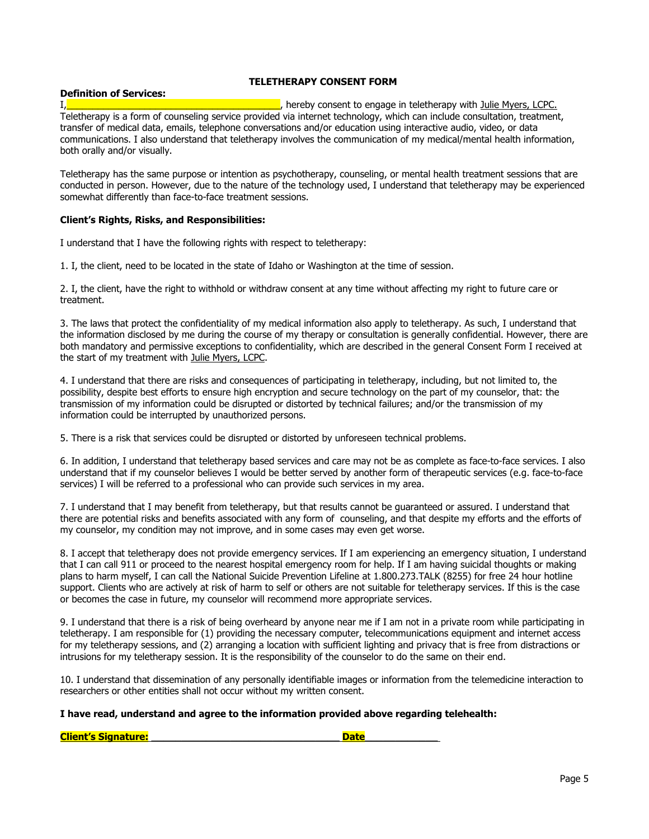## **TELETHERAPY CONSENT FORM**

## **Definition of Services:**

I, **I** and the set of the set of the set of the set of the set of the set of the set of the set of the set of the set of the set of the set of the set of the set of the set of the set of the set of the set of the set of th Teletherapy is a form of counseling service provided via internet technology, which can include consultation, treatment, transfer of medical data, emails, telephone conversations and/or education using interactive audio, video, or data communications. I also understand that teletherapy involves the communication of my medical/mental health information, both orally and/or visually.

Teletherapy has the same purpose or intention as psychotherapy, counseling, or mental health treatment sessions that are conducted in person. However, due to the nature of the technology used, I understand that teletherapy may be experienced somewhat differently than face-to-face treatment sessions.

#### **Client's Rights, Risks, and Responsibilities:**

I understand that I have the following rights with respect to teletherapy:

1. I, the client, need to be located in the state of Idaho or Washington at the time of session.

2. I, the client, have the right to withhold or withdraw consent at any time without affecting my right to future care or treatment.

3. The laws that protect the confidentiality of my medical information also apply to teletherapy. As such, I understand that the information disclosed by me during the course of my therapy or consultation is generally confidential. However, there are both mandatory and permissive exceptions to confidentiality, which are described in the general Consent Form I received at the start of my treatment with Julie Myers, LCPC.

4. I understand that there are risks and consequences of participating in teletherapy, including, but not limited to, the possibility, despite best efforts to ensure high encryption and secure technology on the part of my counselor, that: the transmission of my information could be disrupted or distorted by technical failures; and/or the transmission of my information could be interrupted by unauthorized persons.

5. There is a risk that services could be disrupted or distorted by unforeseen technical problems.

6. In addition, I understand that teletherapy based services and care may not be as complete as face-to-face services. I also understand that if my counselor believes I would be better served by another form of therapeutic services (e.g. face-to-face services) I will be referred to a professional who can provide such services in my area.

7. I understand that I may benefit from teletherapy, but that results cannot be guaranteed or assured. I understand that there are potential risks and benefits associated with any form of counseling, and that despite my efforts and the efforts of my counselor, my condition may not improve, and in some cases may even get worse.

8. I accept that teletherapy does not provide emergency services. If I am experiencing an emergency situation, I understand that I can call 911 or proceed to the nearest hospital emergency room for help. If I am having suicidal thoughts or making plans to harm myself, I can call the National Suicide Prevention Lifeline at 1.800.273.TALK (8255) for free 24 hour hotline support. Clients who are actively at risk of harm to self or others are not suitable for teletherapy services. If this is the case or becomes the case in future, my counselor will recommend more appropriate services.

9. I understand that there is a risk of being overheard by anyone near me if I am not in a private room while participating in teletherapy. I am responsible for (1) providing the necessary computer, telecommunications equipment and internet access for my teletherapy sessions, and (2) arranging a location with sufficient lighting and privacy that is free from distractions or intrusions for my teletherapy session. It is the responsibility of the counselor to do the same on their end.

10. I understand that dissemination of any personally identifiable images or information from the telemedicine interaction to researchers or other entities shall not occur without my written consent.

#### **I have read, understand and agree to the information provided above regarding telehealth:**

| <b>Client's Signature:</b> |  |  |
|----------------------------|--|--|
|                            |  |  |